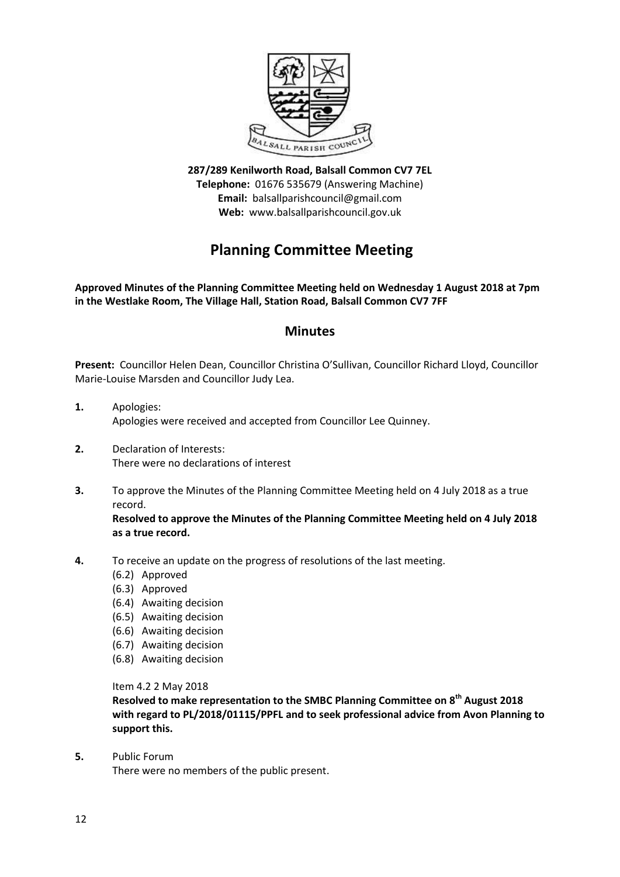

**287/289 Kenilworth Road, Balsall Common CV7 7EL Telephone:** 01676 535679 (Answering Machine) **Email:** balsallparishcouncil@gmail.com **Web:** www.balsallparishcouncil.gov.uk

# **Planning Committee Meeting**

**Approved Minutes of the Planning Committee Meeting held on Wednesday 1 August 2018 at 7pm in the Westlake Room, The Village Hall, Station Road, Balsall Common CV7 7FF**

# **Minutes**

**Present:** Councillor Helen Dean, Councillor Christina O'Sullivan, Councillor Richard Lloyd, Councillor Marie-Louise Marsden and Councillor Judy Lea.

- **1.** Apologies: Apologies were received and accepted from Councillor Lee Quinney.
- **2.** Declaration of Interests: There were no declarations of interest
- **3.** To approve the Minutes of the Planning Committee Meeting held on 4 July 2018 as a true record.

**Resolved to approve the Minutes of the Planning Committee Meeting held on 4 July 2018 as a true record.**

- **4.** To receive an update on the progress of resolutions of the last meeting.
	- (6.2) Approved
	- (6.3) Approved
	- (6.4) Awaiting decision
	- (6.5) Awaiting decision
	- (6.6) Awaiting decision
	- (6.7) Awaiting decision
	- (6.8) Awaiting decision

Item 4.2 2 May 2018

**Resolved to make representation to the SMBC Planning Committee on 8th August 2018 with regard to PL/2018/01115/PPFL and to seek professional advice from Avon Planning to support this.**

**5.** Public Forum

There were no members of the public present.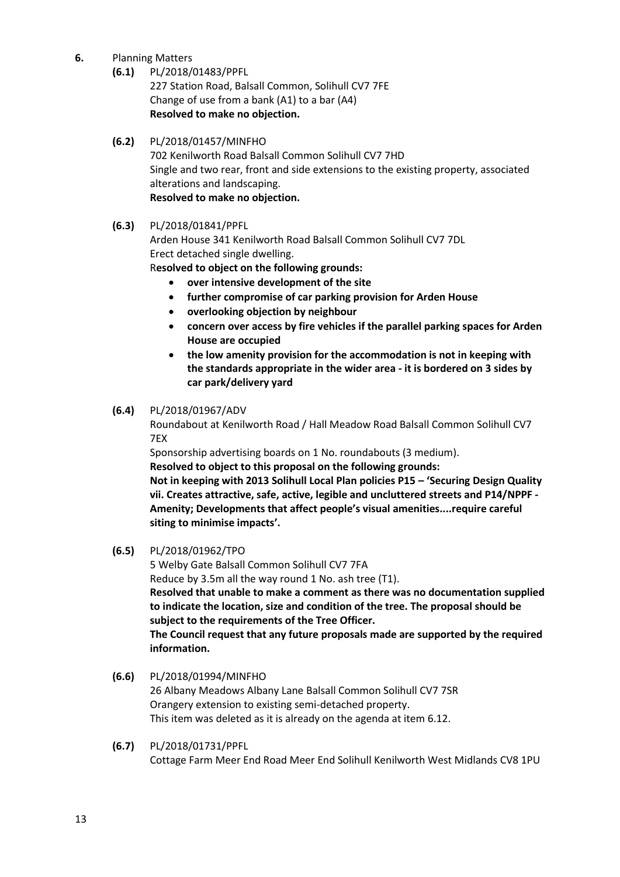- **6.** Planning Matters
	- **(6.1)** PL/2018/01483/PPFL

227 Station Road, Balsall Common, Solihull CV7 7FE Change of use from a bank (A1) to a bar (A4) **Resolved to make no objection.**

# **(6.2)** PL/2018/01457/MINFHO

702 Kenilworth Road Balsall Common Solihull CV7 7HD [Single and two rear, front and side extensions to the existing property, associated](https://publicaccess.solihull.gov.uk/online-applications/applicationDetails.do?activeTab=summary&keyVal=P94PGQOEIMD00&prevPage=inTray)  [alterations and landscaping.](https://publicaccess.solihull.gov.uk/online-applications/applicationDetails.do?activeTab=summary&keyVal=P94PGQOEIMD00&prevPage=inTray) **Resolved to make no objection.**

## **(6.3)** PL/2018/01841/PPFL

Arden House 341 Kenilworth Road Balsall Common Solihull CV7 7DL [Erect detached single dwelling.](https://publicaccess.solihull.gov.uk/online-applications/applicationDetails.do?activeTab=summary&keyVal=PB0U4NOEJ8600&prevPage=inTray)

R**esolved to object on the following grounds:**

- **over intensive development of the site**
- **further compromise of car parking provision for Arden House**
- **overlooking objection by neighbour**
- **concern over access by fire vehicles if the parallel parking spaces for Arden House are occupied**
- **the low amenity provision for the accommodation is not in keeping with the standards appropriate in the wider area - it is bordered on 3 sides by car park/delivery yard**

#### **(6.4)** PL/2018/01967/ADV

Roundabout at Kenilworth Road / Hall Meadow Road Balsall Common Solihull CV7 7EX

[Sponsorship advertising boards on 1 No. roundabouts \(3 medium\).](https://publicaccess.solihull.gov.uk/online-applications/applicationDetails.do?activeTab=summary&keyVal=PBNC6QOE01V00&prevPage=inTray)

**Resolved to object to this proposal on the following grounds:**

**Not in keeping with 2013 Solihull Local Plan policies P15 – 'Securing Design Quality vii. Creates attractive, safe, active, legible and uncluttered streets and P14/NPPF - Amenity; Developments that affect people's visual amenities....require careful siting to minimise impacts'.**

#### **(6.5)** PL/2018/01962/TPO

5 Welby Gate Balsall Common Solihull CV7 7FA

[Reduce by 3.5m all the way round 1 No. ash tree \(T1\).](https://publicaccess.solihull.gov.uk/online-applications/applicationDetails.do?activeTab=summary&keyVal=PBN8L8OE01100&prevPage=inTray)

**Resolved that unable to make a comment as there was no documentation supplied to indicate the location, size and condition of the tree. The proposal should be subject to the requirements of the Tree Officer.**

**The Council request that any future proposals made are supported by the required information.**

## **(6.6)** PL/2018/01994/MINFHO 26 Albany Meadows Albany Lane Balsall Common Solihull CV7 7SR [Orangery extension to existing semi-detached property.](https://publicaccess.solihull.gov.uk/online-applications/applicationDetails.do?activeTab=summary&keyVal=PBQX36OEJHA00&prevPage=inTray) This item was deleted as it is already on the agenda at item 6.12.

**(6.7)** PL/2018/01731/PPFL Cottage Farm Meer End Road Meer End Solihull Kenilworth West Midlands CV8 1PU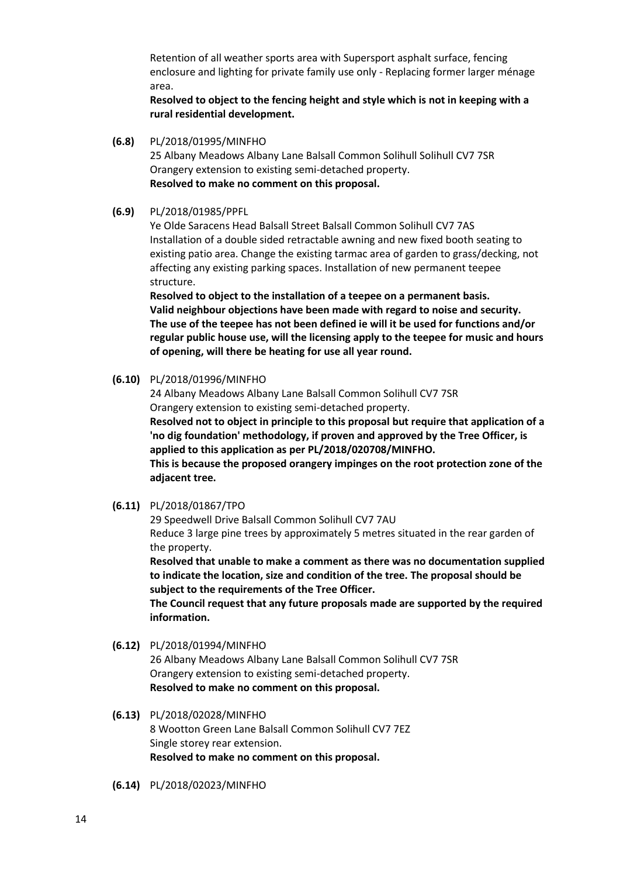[Retention of all weather sports area with Supersport asphalt surface, fencing](https://publicaccess.solihull.gov.uk/online-applications/applicationDetails.do?activeTab=summary&keyVal=PAIXS6OEJ1300&prevPage=inTray)  [enclosure and lighting for private family use only -](https://publicaccess.solihull.gov.uk/online-applications/applicationDetails.do?activeTab=summary&keyVal=PAIXS6OEJ1300&prevPage=inTray) Replacing former larger ménage [area.](https://publicaccess.solihull.gov.uk/online-applications/applicationDetails.do?activeTab=summary&keyVal=PAIXS6OEJ1300&prevPage=inTray)

**Resolved to object to the fencing height and style which is not in keeping with a rural residential development.**

**(6.8)** PL/2018/01995/MINFHO

25 Albany Meadows Albany Lane Balsall Common Solihull Solihull CV7 7SR [Orangery extension to existing semi-detached property.](https://publicaccess.solihull.gov.uk/online-applications/applicationDetails.do?activeTab=summary&keyVal=PBQX40OEJHC00&prevPage=inTray) **Resolved to make no comment on this proposal.**

**(6.9)** PL/2018/01985/PPFL

Ye Olde Saracens Head Balsall Street Balsall Common Solihull CV7 7AS [Installation of a double sided retractable awning and new fixed booth seating to](https://publicaccess.solihull.gov.uk/online-applications/applicationDetails.do?activeTab=summary&keyVal=PBP7YCOEJGL00&prevPage=inTray)  [existing patio area. Change the existing tarmac area of garden to grass/decking, not](https://publicaccess.solihull.gov.uk/online-applications/applicationDetails.do?activeTab=summary&keyVal=PBP7YCOEJGL00&prevPage=inTray)  [affecting any existing parking spaces. Installation of new permanent teepee](https://publicaccess.solihull.gov.uk/online-applications/applicationDetails.do?activeTab=summary&keyVal=PBP7YCOEJGL00&prevPage=inTray)  [structure.](https://publicaccess.solihull.gov.uk/online-applications/applicationDetails.do?activeTab=summary&keyVal=PBP7YCOEJGL00&prevPage=inTray)

**Resolved to object to the installation of a teepee on a permanent basis. Valid neighbour objections have been made with regard to noise and security. The use of the teepee has not been defined ie will it be used for functions and/or regular public house use, will the licensing apply to the teepee for music and hours of opening, will there be heating for use all year round.**

**(6.10)** PL/2018/01996/MINFHO

24 Albany Meadows Albany Lane Balsall Common Solihull CV7 7SR [Orangery extension to existing semi-detached property.](https://publicaccess.solihull.gov.uk/online-applications/applicationDetails.do?activeTab=summary&keyVal=PBQX4YOEJHE00&prevPage=inTray)

**Resolved not to object in principle to this proposal but require that application of a 'no dig foundation' methodology, if proven and approved by the Tree Officer, is applied to this application as per PL/2018/020708/MINFHO.**

**This is because the proposed orangery impinges on the root protection zone of the adjacent tree.**

**(6.11)** PL/2018/01867/TPO

29 Speedwell Drive Balsall Common Solihull CV7 7AU [Reduce 3 large pine trees by approximately 5 metres situated in the rear garden of](https://publicaccess.solihull.gov.uk/online-applications/applicationDetails.do?activeTab=summary&keyVal=PB735SOEJA100&prevPage=inTray)  [the property.](https://publicaccess.solihull.gov.uk/online-applications/applicationDetails.do?activeTab=summary&keyVal=PB735SOEJA100&prevPage=inTray)

**Resolved that unable to make a comment as there was no documentation supplied to indicate the location, size and condition of the tree. The proposal should be subject to the requirements of the Tree Officer.**

**The Council request that any future proposals made are supported by the required information.**

**(6.12)** PL/2018/01994/MINFHO

26 Albany Meadows Albany Lane Balsall Common Solihull CV7 7SR [Orangery extension to existing semi-detached property.](https://publicaccess.solihull.gov.uk/online-applications/applicationDetails.do?activeTab=summary&keyVal=PBQX36OEJHA00&prevPage=inTray) **Resolved to make no comment on this proposal.**

- **(6.13)** PL/2018/02028/MINFHO 8 Wootton Green Lane Balsall Common Solihull CV7 7EZ [Single storey rear extension.](https://publicaccess.solihull.gov.uk/online-applications/applicationDetails.do?activeTab=summary&keyVal=PBY664OEJJ800&prevPage=inTray) **Resolved to make no comment on this proposal.**
- **(6.14)** PL/2018/02023/MINFHO